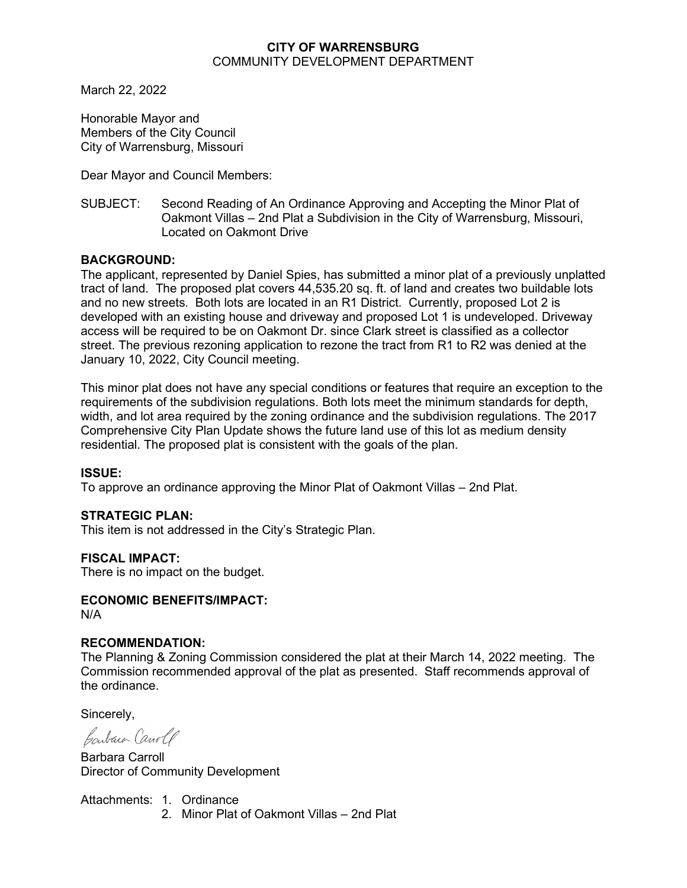#### **CITY OF WARRENSBURG** COMMUNITY DEVELOPMENT DEPARTMENT

March 22, 2022

Honorable Mayor and Members of the City Council City of Warrensburg, Missouri

Dear Mayor and Council Members:

SUBJECT: Second Reading of An Ordinance Approving and Accepting the Minor Plat of Oakmont Villas – 2nd Plat a Subdivision in the City of Warrensburg, Missouri, Located on Oakmont Drive

#### **BACKGROUND:**

The applicant, represented by Daniel Spies, has submitted a minor plat of a previously unplatted tract of land. The proposed plat covers 44,535.20 sq. ft. of land and creates two buildable lots and no new streets. Both lots are located in an R1 District. Currently, proposed Lot 2 is developed with an existing house and driveway and proposed Lot 1 is undeveloped. Driveway access will be required to be on Oakmont Dr. since Clark street is classified as a collector street. The previous rezoning application to rezone the tract from R1 to R2 was denied at the January 10, 2022, City Council meeting.

This minor plat does not have any special conditions or features that require an exception to the requirements of the subdivision regulations. Both lots meet the minimum standards for depth, width, and lot area required by the zoning ordinance and the subdivision regulations. The 2017 Comprehensive City Plan Update shows the future land use of this lot as medium density residential. The proposed plat is consistent with the goals of the plan.

#### **ISSUE:**

To approve an ordinance approving the Minor Plat of Oakmont Villas – 2nd Plat.

#### **STRATEGIC PLAN:**

This item is not addressed in the City's Strategic Plan.

#### **FISCAL IMPACT:**

There is no impact on the budget.

#### **ECONOMIC BENEFITS/IMPACT:** N/A

#### **RECOMMENDATION:**

The Planning & Zoning Commission considered the plat at their March 14, 2022 meeting. The Commission recommended approval of the plat as presented. Staff recommends approval of the ordinance.

Sincerely,

Contain Canole

Barbara Carroll Director of Community Development

Attachments: 1. Ordinance 2. Minor Plat of Oakmont Villas – 2nd Plat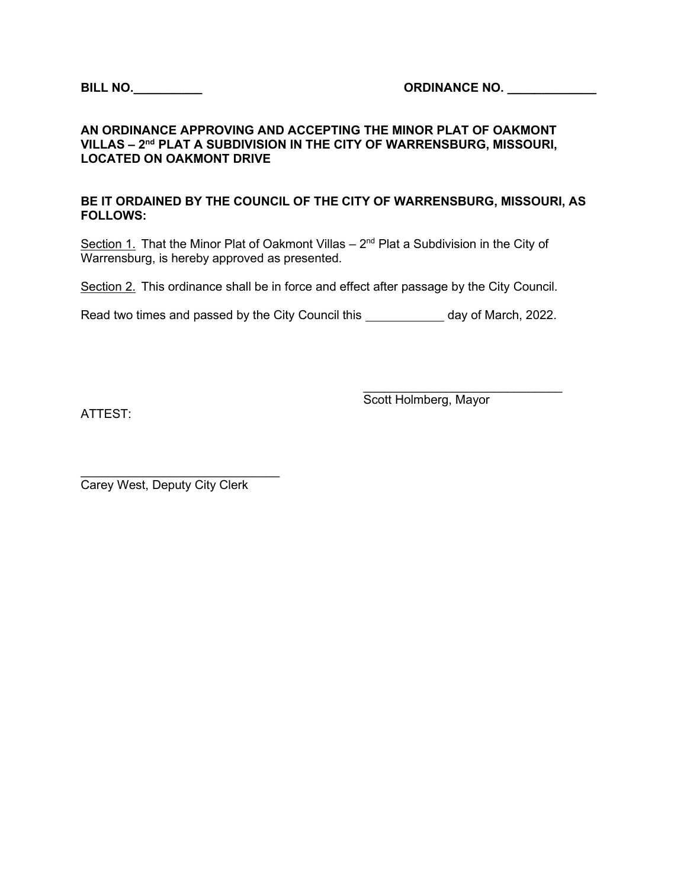#### **AN ORDINANCE APPROVING AND ACCEPTING THE MINOR PLAT OF OAKMONT VILLAS – 2nd PLAT A SUBDIVISION IN THE CITY OF WARRENSBURG, MISSOURI, LOCATED ON OAKMONT DRIVE**

#### **BE IT ORDAINED BY THE COUNCIL OF THE CITY OF WARRENSBURG, MISSOURI, AS FOLLOWS:**

Section 1. That the Minor Plat of Oakmont Villas  $-2<sup>nd</sup>$  Plat a Subdivision in the City of Warrensburg, is hereby approved as presented.

Section 2. This ordinance shall be in force and effect after passage by the City Council.

Read two times and passed by the City Council this \_\_\_\_\_\_\_\_\_\_\_\_ day of March, 2022.

ATTEST:

 $\_$ Scott Holmberg, Mayor

\_\_\_\_\_\_\_\_\_\_\_\_\_\_\_\_\_\_\_\_\_\_\_\_\_\_\_\_\_ Carey West, Deputy City Clerk